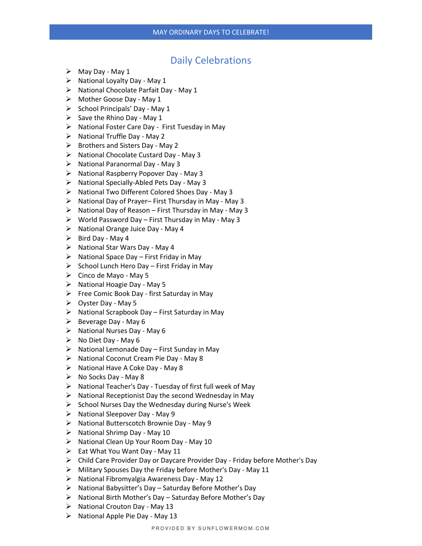## Daily Celebrations

- ➢ May Day May 1
- $\triangleright$  National Loyalty Day May 1
- ➢ National Chocolate Parfait Day May 1
- ➢ Mother Goose Day May 1
- $\triangleright$  School Principals' Day May 1
- $\triangleright$  Save the Rhino Day May 1
- ➢ National Foster Care Day First Tuesday in May
- $\triangleright$  National Truffle Day May 2
- ➢ Brothers and Sisters Day May 2
- ➢ National Chocolate Custard Day May 3
- ➢ National Paranormal Day May 3
- ➢ National Raspberry Popover Day May 3
- ➢ National Specially-Abled Pets Day May 3
- ➢ National Two Different Colored Shoes Day May 3
- ➢ National Day of Prayer– First Thursday in May May 3
- $\triangleright$  National Day of Reason First Thursday in May May 3
- $\triangleright$  World Password Day First Thursday in May May 3
- ➢ National Orange Juice Day May 4
- $\triangleright$  Bird Day May 4
- ➢ National Star Wars Day May 4
- $\triangleright$  National Space Day First Friday in May
- $\triangleright$  School Lunch Hero Day First Friday in May
- $\triangleright$  Cinco de Mayo May 5
- ➢ National Hoagie Day May 5
- ➢ Free Comic Book Day first Saturday in May
- ➢ Oyster Day May 5
- $\triangleright$  National Scrapbook Day First Saturday in May
- $\triangleright$  Beverage Day May 6
- $\triangleright$  National Nurses Day May 6
- $\triangleright$  No Diet Day May 6
- $\triangleright$  National Lemonade Day First Sunday in May
- ➢ National Coconut Cream Pie Day May 8
- ➢ National Have A Coke Day May 8
- $\triangleright$  No Socks Day May 8
- ➢ National Teacher's Day Tuesday of first full week of May
- $\triangleright$  National Receptionist Day the second Wednesday in May
- ➢ School Nurses Day the Wednesday during Nurse's Week
- $\triangleright$  National Sleepover Day May 9
- ➢ National Butterscotch Brownie Day May 9
- $\triangleright$  National Shrimp Day May 10
- ➢ National Clean Up Your Room Day May 10
- $\triangleright$  Eat What You Want Day May 11
- ➢ Child Care Provider Day or Daycare Provider Day Friday before Mother's Day
- ➢ Military Spouses Day the Friday before Mother's Day May 11
- ➢ National Fibromyalgia Awareness Day May 12
- ➢ National Babysitter's Day Saturday Before Mother's Day
- ➢ National Birth Mother's Day Saturday Before Mother's Day
- $\triangleright$  National Crouton Day May 13
- $\triangleright$  National Apple Pie Day May 13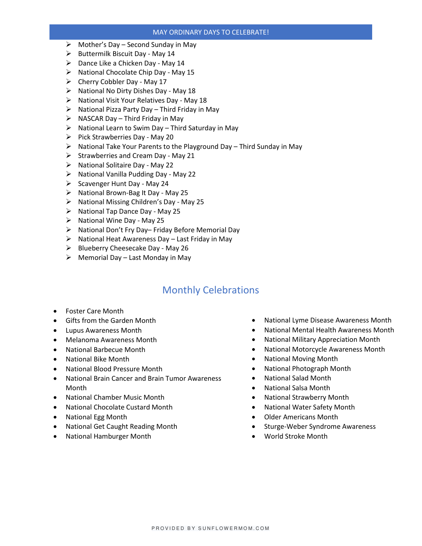## MAY ORDINARY DAYS TO CELEBRATE!

- $\triangleright$  Mother's Day Second Sunday in May
- $\triangleright$  Buttermilk Biscuit Day May 14
- $\triangleright$  Dance Like a Chicken Day May 14
- ➢ National Chocolate Chip Day May 15
- $\triangleright$  Cherry Cobbler Day May 17
- ➢ National No Dirty Dishes Day May 18
- ➢ National Visit Your Relatives Day May 18
- ➢ National Pizza Party Day Third Friday in May
- $\triangleright$  NASCAR Day Third Friday in May
- $\triangleright$  National Learn to Swim Day Third Saturday in May
- $\triangleright$  Pick Strawberries Day May 20
- ➢ National Take Your Parents to the Playground Day Third Sunday in May
- $\triangleright$  Strawberries and Cream Day May 21
- ➢ National Solitaire Day May 22
- ➢ National Vanilla Pudding Day May 22
- $\triangleright$  Scavenger Hunt Day May 24
- ➢ National Brown-Bag It Day May 25
- ➢ National Missing Children's Day May 25
- $\triangleright$  National Tap Dance Day May 25
- ➢ National Wine Day May 25
- ➢ National Don't Fry Day– Friday Before Memorial Day
- $\triangleright$  National Heat Awareness Day Last Friday in May
- ➢ Blueberry Cheesecake Day May 26
- $\triangleright$  Memorial Day Last Monday in May

## Monthly Celebrations

- Foster Care Month
- Gifts from the Garden Month
- Lupus Awareness Month
- Melanoma Awareness Month
- National Barbecue Month
- National Bike Month
- National Blood Pressure Month
- National Brain Cancer and Brain Tumor Awareness Month
- National Chamber Music Month
- National Chocolate Custard Month
- National Egg Month
- National Get Caught Reading Month
- National Hamburger Month
- National Lyme Disease Awareness Month
- National Mental Health Awareness Month
- National Military Appreciation Month
- National Motorcycle Awareness Month
- National Moving Month
- National Photograph Month
- National Salad Month
- National Salsa Month
- National Strawberry Month
- National Water Safety Month
- Older Americans Month
- Sturge-Weber Syndrome Awareness
- World Stroke Month